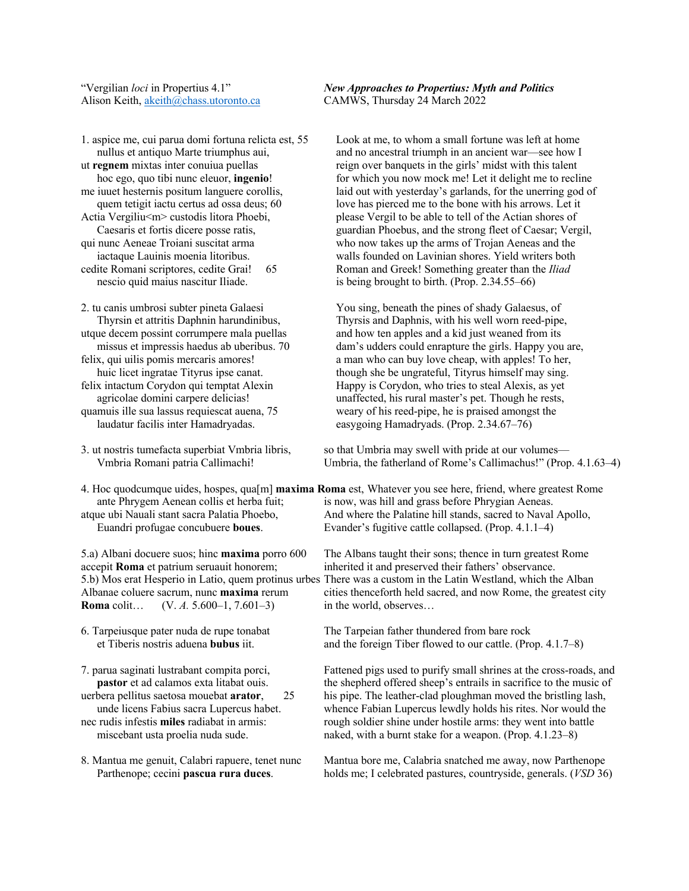Alison Keith, akeith@chass.utoronto.ca CAMWS, Thursday 24 March 2022

1. aspice me, cui parua domi fortuna relicta est, 55 Look at me, to whom a small fortune was left at home nescio quid maius nascitur Iliade. is being brought to birth. (Prop. 2.34.55–66)

accepit **Roma** et patrium seruauit honorem; inherited it and preserved their fathers' observance. **Roma** colit… (V. *A.* 5.600–1, 7.601–3) in the world, observes…

"Vergilian *loci* in Propertius 4.1" *New Approaches to Propertius: Myth and Politics*

nullus et antiquo Marte triumphus aui, and no ancestral triumph in an ancient war—see how I ut **regnem** mixtas inter conuiua puellas reign over banquets in the girls' midst with this talent hoc ego, quo tibi nunc eleuor, **ingenio**! for which you now mock me! Let it delight me to recline me iuuet hesternis positum languere corollis, laid out with yesterday's garlands, for the unerring god of quem tetigit iactu certus ad ossa deus; 60 love has pierced me to the bone with his arrows. Let it Actia Vergiliu  $\leq m$  custodis litora Phoebi, please Vergil to be able to tell of the Actian shores of Caesaris et fortis dicere posse ratis, guardian Phoebus, and the strong fleet of Caesar; Vergil, qui nunc Aeneae Troiani suscitat arma who now takes up the arms of Trojan Aeneas and the iactaque Lauinis moenia litoribus. walls founded on Lavinian shores. Yield writers both cedite Romani scriptores, cedite Grai! 65 Roman and Greek! Something greater than the *Iliad* 

2. tu canis umbrosi subter pineta Galaesi You sing, beneath the pines of shady Galaesus, of Thyrsin et attritis Daphnin harundinibus, Thyrsis and Daphnis, with his well worn reed-pipe, utque decem possint corrumpere mala puellas and how ten apples and a kid just weaned from its missus et impressis haedus ab uberibus. 70 dam's udders could enrapture the girls. Happy you are, felix, qui uilis pomis mercaris amores! a man who can buy love cheap, with apples! To her, huic licet ingratae Tityrus ipse canat. though she be ungrateful, Tityrus himself may sing. felix intactum Corydon qui temptat Alexin Happy is Corydon, who tries to steal Alexis, as yet agricolae domini carpere delicias! unaffected, his rural master's pet. Though he rests, quamuis ille sua lassus requiescat auena, 75 weary of his reed-pipe, he is praised amongst the laudatur facilis inter Hamadryadas. easygoing Hamadryads. (Prop. 2.34.67–76)

3. ut nostris tumefacta superbiat Vmbria libris, so that Umbria may swell with pride at our volumes— Vmbria Romani patria Callimachi! Umbria, the fatherland of Rome's Callimachus!" (Prop. 4.1.63–4)

4. Hoc quodcumque uides, hospes, qua[m] **maxima Roma** est, Whatever you see here, friend, where greatest Rome ante Phrygem Aenean collis et herba fuit; is now, was hill and grass before Phrygian Aeneas. atque ubi Nauali stant sacra Palatia Phoebo, And where the Palatine hill stands, sacred to Naval Apollo, Euandri profugae concubuere **boues**. Evander's fugitive cattle collapsed. (Prop. 4.1.1–4)

5.a) Albani docuere suos; hinc **maxima** porro 600 The Albans taught their sons; thence in turn greatest Rome 5.b) Mos erat Hesperio in Latio, quem protinus urbes There was a custom in the Latin Westland, which the Alban Albanae coluere sacrum, nunc **maxima** rerum cities thenceforth held sacred, and now Rome, the greatest city

6. Tarpeiusque pater nuda de rupe tonabat The Tarpeian father thundered from bare rock et Tiberis nostris aduena **bubus** iit. and the foreign Tiber flowed to our cattle. (Prop. 4.1.7–8)

7. parua saginati lustrabant compita porci, Fattened pigs used to purify small shrines at the cross-roads, and **pastor** et ad calamos exta litabat ouis. the shepherd offered sheep's entrails in sacrifice to the music of uerbera pellitus saetosa mouebat **arator**, 25 his pipe. The leather-clad ploughman moved the bristling lash, unde licens Fabius sacra Lupercus habet. whence Fabian Lupercus lewdly holds his rites. Nor would the nec rudis infestis **miles** radiabat in armis: rough soldier shine under hostile arms: they went into battle miscebant usta proelia nuda sude. naked, with a burnt stake for a weapon. (Prop. 4.1.23–8)

8. Mantua me genuit, Calabri rapuere, tenet nunc Mantua bore me, Calabria snatched me away, now Parthenope Parthenope; cecini **pascua rura duces**. holds me; I celebrated pastures, countryside, generals. (*VSD* 36)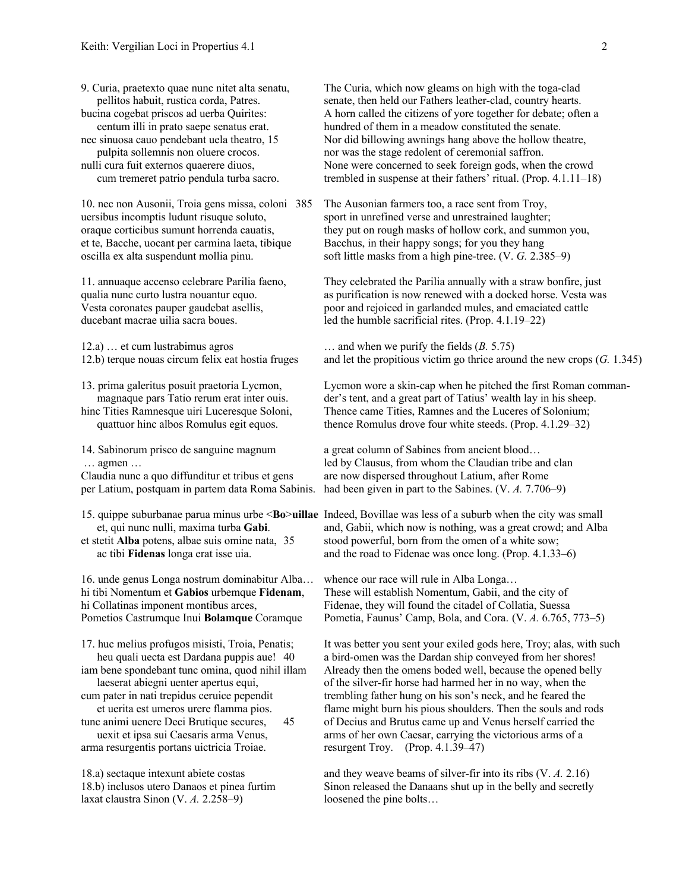10. nec non Ausonii, Troia gens missa, coloni 385 The Ausonian farmers too, a race sent from Troy,

12.a) … et cum lustrabimus agros … and when we purify the fields (*B.* 5.75)

- 
- 

16. unde genus Longa nostrum dominabitur Alba… whence our race will rule in Alba Longa…

arma resurgentis portans uictricia Troiae. resurgent Troy. (Prop. 4.1.39–47)

laxat claustra Sinon (V. *A.* 2.258–9) loosened the pine bolts...

9. Curia, praetexto quae nunc nitet alta senatu, The Curia, which now gleams on high with the toga-clad pellitos habuit, rustica corda, Patres. senate, then held our Fathers leather-clad, country hearts. bucina cogebat priscos ad uerba Quirites: A horn called the citizens of yore together for debate; often a centum illi in prato saepe senatus erat. hundred of them in a meadow constituted the senate. nec sinuosa cauo pendebant uela theatro, 15 Nor did billowing awnings hang above the hollow theatre, pulpita sollemnis non oluere crocos. nor was the stage redolent of ceremonial saffron. nulli cura fuit externos quaerere diuos, None were concerned to seek foreign gods, when the crowd cum tremeret patrio pendula turba sacro. trembled in suspense at their fathers' ritual. (Prop. 4.1.11–18)

uersibus incomptis ludunt risuque soluto, sport in unrefined verse and unrestrained laughter; oraque corticibus sumunt horrenda cauatis, they put on rough masks of hollow cork, and summon you, et te, Bacche, uocant per carmina laeta, tibique Bacchus, in their happy songs; for you they hang oscilla ex alta suspendunt mollia pinu. soft little masks from a high pine-tree. (V. *G.* 2.385–9)

11. annuaque accenso celebrare Parilia faeno, They celebrated the Parilia annually with a straw bonfire, just qualia nunc curto lustra nouantur equo.  $\qquad \qquad \text{as purification is now renewed with a docked horse. Vesta was}$ Vesta coronates pauper gaudebat asellis, poor and rejoiced in garlanded mules, and emaciated cattle ducebant macrae uilia sacra boues. led the humble sacrificial rites. (Prop. 4.1.19–22)

12.b) terque nouas circum felix eat hostia fruges and let the propitious victim go thrice around the new crops (*G.* 1.345)

13. prima galeritus posuit praetoria Lycmon, Lycmon wore a skin-cap when he pitched the first Roman commanmagnaque pars Tatio rerum erat inter ouis. der's tent, and a great part of Tatius' wealth lay in his sheep. hinc Tities Ramnesque uiri Luceresque Soloni, Thence came Tities, Ramnes and the Luceres of Solonium; quattuor hinc albos Romulus egit equos. thence Romulus drove four white steeds. (Prop. 4.1.29–32)

14. Sabinorum prisco de sanguine magnum a great column of Sabines from ancient blood... … agmen … led by Clausus, from whom the Claudian tribe and clan Claudia nunc a quo diffunditur et tribus et gens are now dispersed throughout Latium, after Rome per Latium, postquam in partem data Roma Sabinis. had been given in part to the Sabines. (V. *A.* 7.706–9)

15. quippe suburbanae parua minus urbe <**Bo**>**uillae** Indeed, Bovillae was less of a suburb when the city was small et, qui nunc nulli, maxima turba **Gabi**. and, Gabii, which now is nothing, was a great crowd; and Alba et stetit **Alba** potens, albae suis omine nata, 35 stood powerful, born from the omen of a white sow; ac tibi **Fidenas** longa erat isse uia. and the road to Fidenae was once long. (Prop. 4.1.33–6)

hi tibi Nomentum et **Gabios** urbemque **Fidenam**, These will establish Nomentum, Gabii, and the city of hi Collatinas imponent montibus arces, Fidenae, they will found the citadel of Collatia, Suessa Pometios Castrumque Inui **Bolamque** Coramque Pometia, Faunus' Camp, Bola, and Cora. (V. *A.* 6.765, 773–5)

17. huc melius profugos misisti, Troia, Penatis; It was better you sent your exiled gods here, Troy; alas, with such heu quali uecta est Dardana puppis aue! 40 a bird-omen was the Dardan ship conveyed from her shores! iam bene spondebant tunc omina, quod nihil illam Already then the omens boded well, because the opened belly laeserat abiegni uenter apertus equi, of the silver-fir horse had harmed her in no way, when the cum pater in nati trepidus ceruice pependit trembling father hung on his son's neck, and he feared the et uerita est umeros urere flamma pios. flame might burn his pious shoulders. Then the souls and rods tunc animi uenere Deci Brutique secures, 45 of Decius and Brutus came up and Venus herself carried the uexit et ipsa sui Caesaris arma Venus, arms of her own Caesar, carrying the victorious arms of a

18.a) sectaque intexunt abiete costas and they weave beams of silver-fir into its ribs (V. *A.* 2.16) 18.b) inclusos utero Danaos et pinea furtim Sinon released the Danaans shut up in the belly and secretly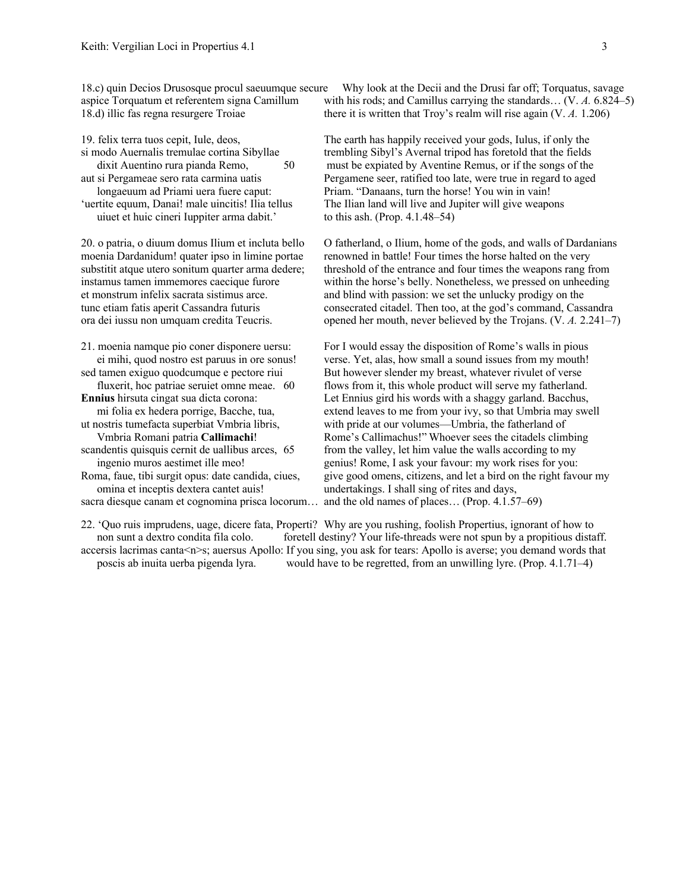uiuet et huic cineri Iuppiter arma dabit.' to this ash. (Prop. 4.1.48–54)

omina et inceptis dextera cantet auis! undertakings. I shall sing of rites and days,

18.c) quin Decios Drusosque procul saeuumque secure Why look at the Decii and the Drusi far off; Torquatus, savage aspice Torquatum et referentem signa Camillum with his rods; and Camillus carrying the standards… (V. *A.* 6.824–5) 18.d) illic fas regna resurgere Troiae there it is written that Troy's realm will rise again (V. *A.* 1.206)

19. felix terra tuos cepit, Iule, deos, The earth has happily received your gods, Iulus, if only the si modo Auernalis tremulae cortina Sibyllae trembling Sibyl's Avernal tripod has foretold that the fields dixit Auentino rura pianda Remo, 50 must be expiated by Aventine Remus, or if the songs of the aut si Pergameae sero rata carmina uatis Pergamene seer, ratified too late, were true in regard to aged longaeuum ad Priami uera fuere caput: Priam. "Danaans, turn the horse! You win in vain! 'uertite equum, Danai! male uincitis! Ilia tellus The Ilian land will live and Jupiter will give weapons

20. o patria, o diuum domus Ilium et incluta bello O fatherland, o Ilium, home of the gods, and walls of Dardanians moenia Dardanidum! quater ipso in limine portae renowned in battle! Four times the horse halted on the very substitit atque utero sonitum quarter arma dedere; threshold of the entrance and four times the weapons rang from instamus tamen immemores caecique furore within the horse's belly. Nonetheless, we pressed on unheeding et monstrum infelix sacrata sistimus arce. and blind with passion: we set the unlucky prodigy on the tunc etiam fatis aperit Cassandra futuris consecrated citadel. Then too, at the god's command, Cassandra ora dei iussu non umquam credita Teucris. opened her mouth, never believed by the Trojans. (V. *A.* 2.241–7)

21. moenia namque pio coner disponere uersu: For I would essay the disposition of Rome's walls in pious ei mihi, quod nostro est paruus in ore sonus! verse. Yet, alas, how small a sound issues from my mouth! sed tamen exiguo quodcumque e pectore riui But however slender my breast, whatever rivulet of verse fluxerit, hoc patriae seruiet omne meae. 60 flows from it, this whole product will serve my fatherland. **Ennius** hirsuta cingat sua dicta corona: Let Ennius gird his words with a shaggy garland. Bacchus, mi folia ex hedera porrige, Bacche, tua, extend leaves to me from your ivy, so that Umbria may swell ut nostris tumefacta superbiat Vmbria libris, with pride at our volumes—Umbria, the fatherland of Vmbria Romani patria **Callimachi**! Rome's Callimachus!" Whoever sees the citadels climbing scandentis quisquis cernit de uallibus arces, 65 from the valley, let him value the walls according to my ingenio muros aestimet ille meo! genius! Rome, I ask your favour: my work rises for you: Roma, faue, tibi surgit opus: date candida, ciues, give good omens, citizens, and let a bird on the right favour my sacra diesque canam et cognomina prisca locorum… and the old names of places… (Prop. 4.1.57–69)

22. 'Quo ruis imprudens, uage, dicere fata, Properti? Why are you rushing, foolish Propertius, ignorant of how to non sunt a dextro condita fila colo. foretell destiny? Your life-threads were not spun by a propitious distaff. accersis lacrimas canta<n>s; auersus Apollo: If you sing, you ask for tears: Apollo is averse; you demand words that

poscis ab inuita uerba pigenda lyra. would have to be regretted, from an unwilling lyre. (Prop. 4.1.71–4)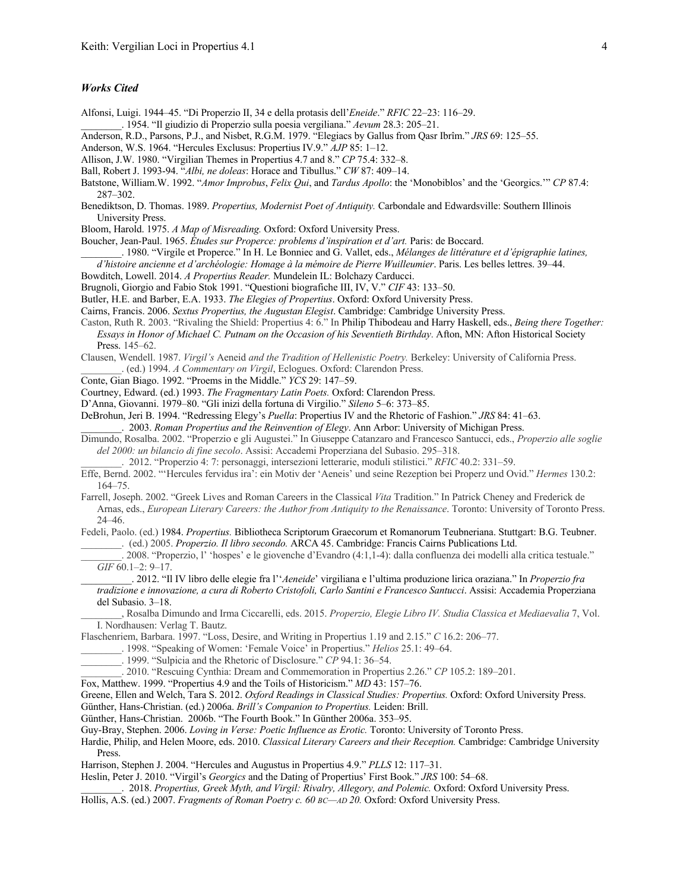## *Works Cited*

- Alfonsi, Luigi. 1944–45. "Di Properzio II, 34 e della protasis dell'*Eneide*." *RFIC* 22–23: 116–29.
- \_\_\_\_\_\_\_\_. 1954. "Il giudizio di Properzio sulla poesia vergiliana." *Aevum* 28.3: 205–21.
- Anderson, R.D., Parsons, P.J., and Nisbet, R.G.M. 1979. "Elegiacs by Gallus from Qasr Ibrîm." *JRS* 69: 125–55.
- Anderson, W.S. 1964. "Hercules Exclusus: Propertius IV.9." *AJP* 85: 1–12.
- Allison, J.W. 1980. "Virgilian Themes in Propertius 4.7 and 8." *CP* 75.4: 332–8.
- Ball, Robert J. 1993-94. "*Albi, ne doleas*: Horace and Tibullus." *CW* 87: 409–14.
- Batstone, William.W. 1992. "*Amor Improbus*, *Felix Qui*, and *Tardus Apollo*: the 'Monobiblos' and the 'Georgics.'" *CP* 87.4: 287–302.
- Benediktson, D. Thomas. 1989. *Propertius, Modernist Poet of Antiquity.* Carbondale and Edwardsville: Southern Illinois University Press.
- Bloom, Harold. 1975. *A Map of Misreading.* Oxford: Oxford University Press.
- Boucher, Jean-Paul. 1965. *Études sur Properce: problems d'inspiration et d'art.* Paris: de Boccard.
	- \_\_\_\_\_\_\_\_. 1980. "Virgile et Properce." In H. Le Bonniec and G. Vallet, eds., *Mélanges de littérature et d'épigraphie latines,*
- *d'histoire ancienne et d'archéologie: Homage à la mémoire de Pierre Wuilleumier*. Paris. Les belles lettres. 39–44.
- Bowditch, Lowell. 2014. *A Propertius Reader.* Mundelein IL: Bolchazy Carducci.
- Brugnoli, Giorgio and Fabio Stok 1991. "Questioni biografiche III, IV, V." *CIF* 43: 133–50.
- Butler, H.E. and Barber, E.A. 1933. *The Elegies of Propertius*. Oxford: Oxford University Press.
- Cairns, Francis. 2006. *Sextus Propertius, the Augustan Elegist*. Cambridge: Cambridge University Press.
- Caston, Ruth R. 2003. "Rivaling the Shield: Propertius 4: 6." In Philip Thibodeau and Harry Haskell, eds., *Being there Together: Essays in Honor of Michael C. Putnam on the Occasion of his Seventieth Birthday*. Afton, MN: Afton Historical Society Press. 145–62.
- Clausen, Wendell. 1987. *Virgil's* Aeneid *and the Tradition of Hellenistic Poetry.* Berkeley: University of California Press. \_\_\_\_\_\_\_\_. (ed.) 1994. *A Commentary on Virgil*, Eclogues. Oxford: Clarendon Press.
- Conte, Gian Biago. 1992. "Proems in the Middle." *YCS* 29: 147–59.
- Courtney, Edward. (ed.) 1993. *The Fragmentary Latin Poets.* Oxford: Clarendon Press.
- D'Anna, Giovanni. 1979–80. "Gli inizi della fortuna di Virgilio." *Sileno* 5–6: 373–85.
- DeBrohun, Jeri B. 1994. "Redressing Elegy's *Puella*: Propertius IV and the Rhetoric of Fashion." *JRS* 84: 41–63.
- \_\_\_\_\_\_\_\_. 2003. *Roman Propertius and the Reinvention of Elegy*. Ann Arbor: University of Michigan Press.
- Dimundo, Rosalba. 2002. "Properzio e gli Augustei." In Giuseppe Catanzaro and Francesco Santucci, eds., *Properzio alle soglie del 2000: un bilancio di fine secolo*. Assisi: Accademi Properziana del Subasio. 295–318.
	- \_\_\_\_\_\_\_\_. 2012. "Properzio 4: 7: personaggi, intersezioni letterarie, moduli stilistici." *RFIC* 40.2: 331–59.
- Effe, Bernd. 2002. "'Hercules fervidus ira': ein Motiv der 'Aeneis' und seine Rezeption bei Properz und Ovid." *Hermes* 130.2: 164–75.
- Farrell, Joseph. 2002. "Greek Lives and Roman Careers in the Classical *Vita* Tradition." In Patrick Cheney and Frederick de Arnas, eds., *European Literary Careers: the Author from Antiquity to the Renaissance*. Toronto: University of Toronto Press. 24–46.
- Fedeli, Paolo. (ed.) 1984. *Propertius.* Bibliotheca Scriptorum Graecorum et Romanorum Teubneriana. Stuttgart: B.G. Teubner. \_\_\_\_\_\_\_\_. (ed.) 2005. *Properzio. Il libro secondo.* ARCA 45. Cambridge: Francis Cairns Publications Ltd.
	- \_\_\_\_\_\_\_\_. 2008. "Properzio, l' 'hospes' e le giovenche d'Evandro (4:1,1-4): dalla confluenza dei modelli alla critica testuale." *GIF* 60.1–2: 9–17.
	- \_\_\_\_\_\_\_\_\_\_. 2012. "Il IV libro delle elegie fra l''*Aeneide*' virgiliana e l'ultima produzione lirica oraziana." In *Properzio fra tradizione e innovazione, a cura di Roberto Cristofoli, Carlo Santini e Francesco Santucci*. Assisi: Accademia Properziana del Subasio. 3–18.
	- \_\_\_\_\_\_\_\_, Rosalba Dimundo and Irma Ciccarelli, eds. 2015. *Properzio, Elegie Libro IV. Studia Classica et Mediaevalia* 7, Vol. I. Nordhausen: Verlag T. Bautz.
- Flaschenriem, Barbara. 1997. "Loss, Desire, and Writing in Propertius 1.19 and 2.15." *C* 16.2: 206–77.
	- \_\_\_\_\_\_\_\_. 1998. "Speaking of Women: 'Female Voice' in Propertius." *Helios* 25.1: 49–64.
		- \_\_\_\_\_\_\_\_. 1999. "Sulpicia and the Rhetoric of Disclosure." *CP* 94.1: 36–54.
- \_\_\_\_\_\_\_\_. 2010. "Rescuing Cynthia: Dream and Commemoration in Propertius 2.26." *CP* 105.2: 189–201.
- Fox, Matthew. 1999. "Propertius 4.9 and the Toils of Historicism." *MD* 43: 157–76.
- Greene, Ellen and Welch, Tara S. 2012. *Oxford Readings in Classical Studies: Propertius.* Oxford: Oxford University Press.
- Günther, Hans-Christian. (ed.) 2006a. *Brill's Companion to Propertius.* Leiden: Brill.
- Günther, Hans-Christian. 2006b. "The Fourth Book." In Günther 2006a. 353–95.
- Guy-Bray, Stephen. 2006. *Loving in Verse: Poetic Influence as Erotic.* Toronto: University of Toronto Press.
- Hardie, Philip, and Helen Moore, eds. 2010. *Classical Literary Careers and their Reception.* Cambridge: Cambridge University Press.
- Harrison, Stephen J. 2004. "Hercules and Augustus in Propertius 4.9." *PLLS* 12: 117–31.
- Heslin, Peter J. 2010. "Virgil's *Georgics* and the Dating of Propertius' First Book." *JRS* 100: 54–68.
- \_\_\_\_\_\_\_\_. 2018. *Propertius, Greek Myth, and Virgil: Rivalry, Allegory, and Polemic.* Oxford: Oxford University Press.
- Hollis, A.S. (ed.) 2007. *Fragments of Roman Poetry c. 60 BC—AD 20.* Oxford: Oxford University Press.